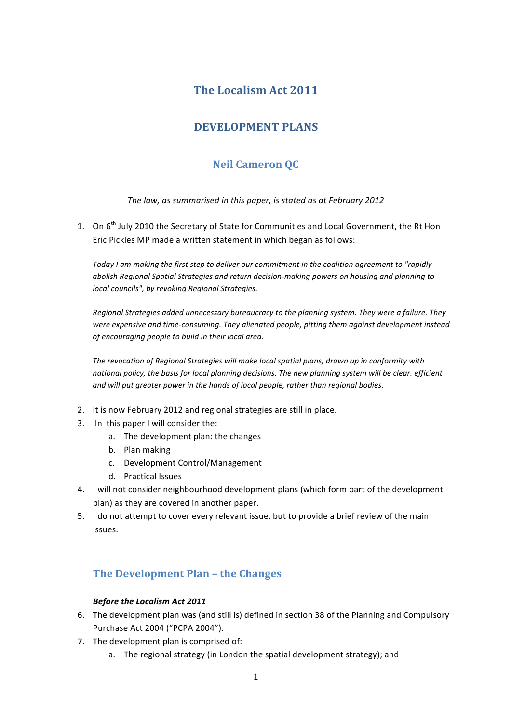## **The Localism Act 2011**

# **DEVELOPMENT PLANS**

# **Neil Cameron QC**

The law, as summarised in this paper, is stated as at February 2012

1. On 6<sup>th</sup> July 2010 the Secretary of State for Communities and Local Government, the Rt Hon Eric Pickles MP made a written statement in which began as follows:

Today I am making the first step to deliver our commitment in the coalition agreement to "rapidly abolish Regional Spatial Strategies and return decision-making powers on housing and planning to *local councils", by revoking Regional Strategies.* 

*Regional Strategies added unnecessary bureaucracy to the planning system. They were a failure. They* were expensive and time-consuming. They alienated people, pitting them against development instead of encouraging people to build in their local area.

The revocation of Regional Strategies will make local spatial plans, drawn up in conformity with national policy, the basis for local planning decisions. The new planning system will be clear, efficient and will put greater power in the hands of local people, rather than regional bodies.

- 2. It is now February 2012 and regional strategies are still in place.
- 3. In this paper I will consider the:
	- a. The development plan: the changes
	- b. Plan making
	- c. Development Control/Management
	- d. Practical Issues
- 4. I will not consider neighbourhood development plans (which form part of the development plan) as they are covered in another paper.
- 5. I do not attempt to cover every relevant issue, but to provide a brief review of the main issues.

## **The Development Plan – the Changes**

### **Before the Localism Act 2011**

- 6. The development plan was (and still is) defined in section 38 of the Planning and Compulsory Purchase Act 2004 ("PCPA 2004").
- 7. The development plan is comprised of:
	- a. The regional strategy (in London the spatial development strategy); and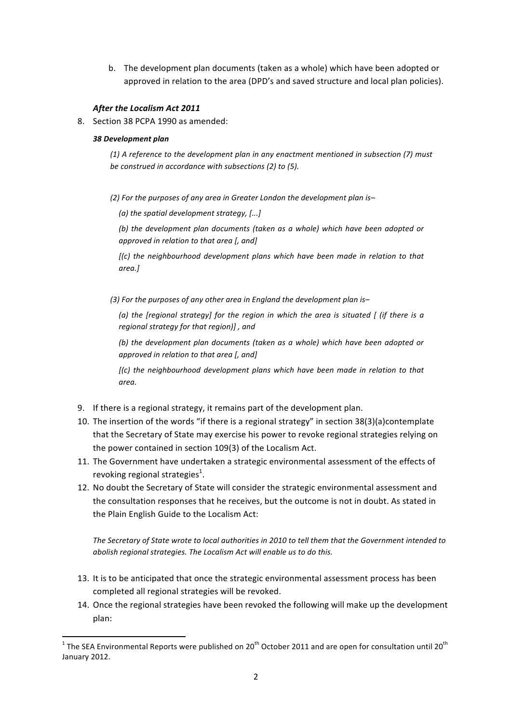b. The development plan documents (taken as a whole) which have been adopted or approved in relation to the area (DPD's and saved structure and local plan policies).

#### After the Localism Act 2011

8. Section 38 PCPA 1990 as amended:

#### *38 Development plan*

<u> 1989 - Johann Stein, fransk politik (d. 1989)</u>

*(1) A reference to the development plan in any enactment mentioned in subsection (7) must be construed in accordance with subsections (2) to (5).* 

(2) For the purposes of any area in Greater London the development plan is-

*(a)* the spatial development strategy, [...]

(b) the development plan documents (taken as a whole) which have been adopted or *approved in relation to that area* [, and]

*[(c)* the neighbourhood development plans which have been made in relation to that *area.]* 

(3) For the purposes of any other area in England the development plan is-

*(a)* the *[regional strategy]* for the region in which the area is situated [ (if there is a *regional strategy for that region)]*, and

(b) the development plan documents (taken as a whole) which have been adopted or *approved in relation to that area* [, and]

[(c) the neighbourhood development plans which have been made in relation to that *area.*

- 9. If there is a regional strategy, it remains part of the development plan.
- 10. The insertion of the words "if there is a regional strategy" in section  $38(3)(a)$ contemplate that the Secretary of State may exercise his power to revoke regional strategies relying on the power contained in section 109(3) of the Localism Act.
- 11. The Government have undertaken a strategic environmental assessment of the effects of revoking regional strategies<sup>1</sup>.
- 12. No doubt the Secretary of State will consider the strategic environmental assessment and the consultation responses that he receives, but the outcome is not in doubt. As stated in the Plain English Guide to the Localism Act:

The Secretary of State wrote to local authorities in 2010 to tell them that the Government intended to *abolish regional strategies. The Localism Act will enable us to do this.* 

- 13. It is to be anticipated that once the strategic environmental assessment process has been completed all regional strategies will be revoked.
- 14. Once the regional strategies have been revoked the following will make up the development plan:

<sup>&</sup>lt;sup>1</sup> The SEA Environmental Reports were published on 20<sup>th</sup> October 2011 and are open for consultation until 20<sup>th</sup> January 2012.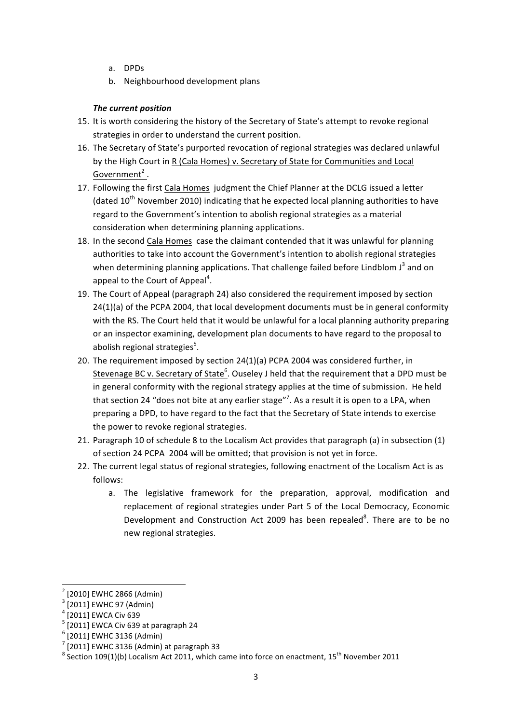- a. DPDs
- b. Neighbourhood development plans

### *The current position*

- 15. It is worth considering the history of the Secretary of State's attempt to revoke regional strategies in order to understand the current position.
- 16. The Secretary of State's purported revocation of regional strategies was declared unlawful by the High Court in R (Cala Homes) v. Secretary of State for Communities and Local Government<sup>2</sup>.
- 17. Following the first Cala Homes judgment the Chief Planner at the DCLG issued a letter (dated  $10^{th}$  November 2010) indicating that he expected local planning authorities to have regard to the Government's intention to abolish regional strategies as a material consideration when determining planning applications.
- 18. In the second Cala Homes case the claimant contended that it was unlawful for planning authorities to take into account the Government's intention to abolish regional strategies when determining planning applications. That challenge failed before Lindblom  $J^3$  and on appeal to the Court of Appeal<sup>4</sup>.
- 19. The Court of Appeal (paragraph 24) also considered the requirement imposed by section  $24(1)(a)$  of the PCPA 2004, that local development documents must be in general conformity with the RS. The Court held that it would be unlawful for a local planning authority preparing or an inspector examining, development plan documents to have regard to the proposal to abolish regional strategies<sup>5</sup>.
- 20. The requirement imposed by section  $24(1)(a)$  PCPA 2004 was considered further, in Stevenage BC v. Secretary of State<sup>6</sup>. Ouseley J held that the requirement that a DPD must be in general conformity with the regional strategy applies at the time of submission. He held that section 24 "does not bite at any earlier stage"<sup>7</sup>. As a result it is open to a LPA, when preparing a DPD, to have regard to the fact that the Secretary of State intends to exercise the power to revoke regional strategies.
- 21. Paragraph 10 of schedule 8 to the Localism Act provides that paragraph (a) in subsection (1) of section 24 PCPA 2004 will be omitted; that provision is not yet in force.
- 22. The current legal status of regional strategies, following enactment of the Localism Act is as follows:
	- a. The legislative framework for the preparation, approval, modification and replacement of regional strategies under Part 5 of the Local Democracy, Economic Development and Construction Act 2009 has been repealed<sup>8</sup>. There are to be no new regional strategies.

<u> 1989 - Johann Stein, fransk politik (d. 1989)</u>

<sup>[2010]</sup> EWHC 2866 (Admin)<br>[2011] EWHC 97 (Admin)

 $4$  [2011] EWCA Civ 639

 $<sup>5</sup>$  [2011] EWCA Civ 639 at paragraph 24</sup>

 $6$  [2011] EWHC 3136 (Admin)

<sup>[2011]</sup> EWHC 3136 (Admin) at paragraph 33

 $8$  Section 109(1)(b) Localism Act 2011, which came into force on enactment, 15<sup>th</sup> November 2011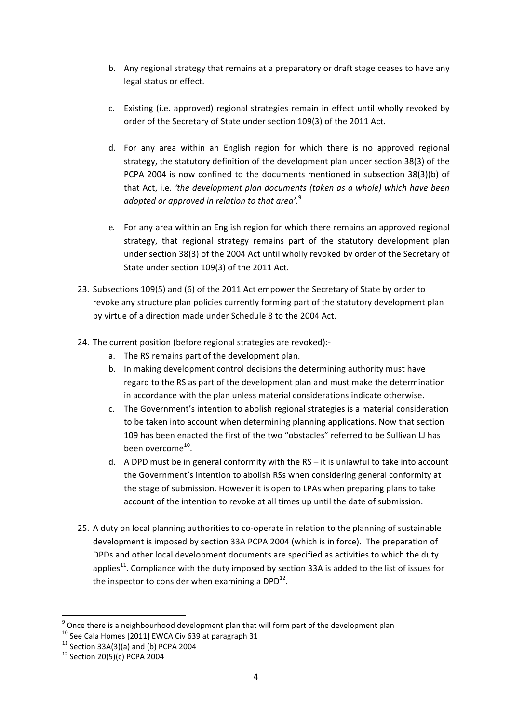- b. Any regional strategy that remains at a preparatory or draft stage ceases to have any legal status or effect.
- c. Existing (i.e. approved) regional strategies remain in effect until wholly revoked by order of the Secretary of State under section 109(3) of the 2011 Act.
- d. For any area within an English region for which there is no approved regional strategy, the statutory definition of the development plan under section 38(3) of the PCPA 2004 is now confined to the documents mentioned in subsection  $38(3)(b)$  of that Act, i.e. 'the development plan documents (taken as a whole) which have been *adopted or approved in relation to that area'*. 9
- e. For any area within an English region for which there remains an approved regional strategy, that regional strategy remains part of the statutory development plan under section 38(3) of the 2004 Act until wholly revoked by order of the Secretary of State under section 109(3) of the 2011 Act.
- 23. Subsections 109(5) and (6) of the 2011 Act empower the Secretary of State by order to revoke any structure plan policies currently forming part of the statutory development plan by virtue of a direction made under Schedule 8 to the 2004 Act.
- 24. The current position (before regional strategies are revoked):
	- a. The RS remains part of the development plan.
	- b. In making development control decisions the determining authority must have regard to the RS as part of the development plan and must make the determination in accordance with the plan unless material considerations indicate otherwise.
	- c. The Government's intention to abolish regional strategies is a material consideration to be taken into account when determining planning applications. Now that section 109 has been enacted the first of the two "obstacles" referred to be Sullivan LJ has been overcome<sup>10</sup>.
	- d. A DPD must be in general conformity with the RS it is unlawful to take into account the Government's intention to abolish RSs when considering general conformity at the stage of submission. However it is open to LPAs when preparing plans to take account of the intention to revoke at all times up until the date of submission.
- 25. A duty on local planning authorities to co-operate in relation to the planning of sustainable development is imposed by section 33A PCPA 2004 (which is in force). The preparation of DPDs and other local development documents are specified as activities to which the duty applies<sup>11</sup>. Compliance with the duty imposed by section 33A is added to the list of issues for the inspector to consider when examining a  $DPD<sup>12</sup>$ .

 $9$  Once there is a neighbourhood development plan that will form part of the development plan

<sup>&</sup>lt;sup>10</sup> See Cala Homes [2011] EWCA Civ 639 at paragraph 31<br><sup>11</sup> Section 33A(3)(a) and (b) PCPA 2004<br><sup>12</sup> Section 20(5)(c) PCPA 2004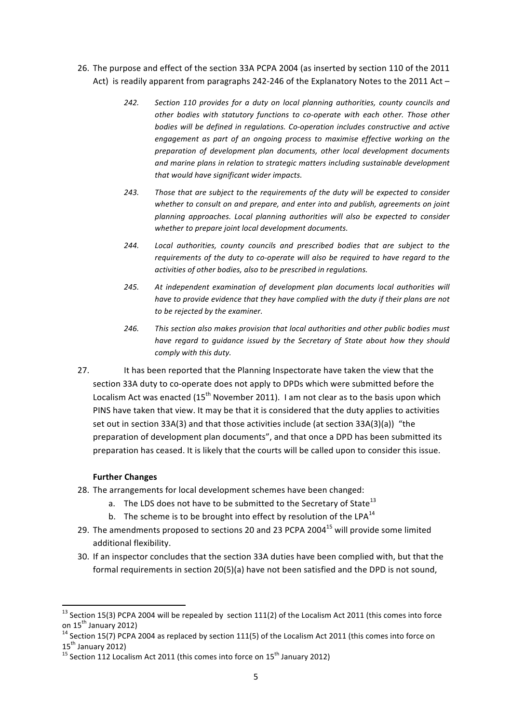- 26. The purpose and effect of the section 33A PCPA 2004 (as inserted by section 110 of the 2011 Act) is readily apparent from paragraphs 242-246 of the Explanatory Notes to the 2011 Act –
	- 242. Section 110 provides for a duty on local planning authorities, county councils and other bodies with statutory functions to co-operate with each other. Those other bodies will be defined in regulations. Co-operation includes constructive and active engagement as part of an ongoing process to maximise effective working on the preparation of development plan documents, other local development documents and marine plans in relation to strategic matters including sustainable development *that would have significant wider impacts.*
	- 243. Those that are subject to the requirements of the duty will be expected to consider whether to consult on and prepare, and enter into and publish, agreements on joint planning approaches. Local planning authorities will also be expected to consider whether to prepare joint local development documents.
	- 244. Local authorities, county councils and prescribed bodies that are subject to the requirements of the duty to co-operate will also be required to have regard to the *activities of other bodies, also to be prescribed in regulations.*
	- 245. At independent examination of development plan documents local authorities will have to provide evidence that they have complied with the duty if their plans are not to be rejected by the examiner.
	- 246. This section also makes provision that local authorities and other public bodies must have regard to guidance issued by the Secretary of State about how they should *comply with this duty.*
- 27. It has been reported that the Planning Inspectorate have taken the view that the section 33A duty to co-operate does not apply to DPDs which were submitted before the Localism Act was enacted  $(15<sup>th</sup>$  November 2011). I am not clear as to the basis upon which PINS have taken that view. It may be that it is considered that the duty applies to activities set out in section 33A(3) and that those activities include (at section 33A(3)(a)) "the preparation of development plan documents", and that once a DPD has been submitted its preparation has ceased. It is likely that the courts will be called upon to consider this issue.

### **Further Changes**

 

- 28. The arrangements for local development schemes have been changed:
	- a. The LDS does not have to be submitted to the Secretary of State $^{13}$
	- b. The scheme is to be brought into effect by resolution of the LPA $^{14}$
- 29. The amendments proposed to sections 20 and 23 PCPA 2004<sup>15</sup> will provide some limited additional flexibility.
- 30. If an inspector concludes that the section 33A duties have been complied with, but that the formal requirements in section 20(5)(a) have not been satisfied and the DPD is not sound.

<sup>&</sup>lt;sup>13</sup> Section 15(3) PCPA 2004 will be repealed by section 111(2) of the Localism Act 2011 (this comes into force on 15<sup>th</sup> January 2012)

 $14$  Section 15(7) PCPA 2004 as replaced by section 111(5) of the Localism Act 2011 (this comes into force on 15<sup>th</sup> January 2012)<br><sup>15</sup> Section 112 Localism Act 2011 (this comes into force on 15<sup>th</sup> January 2012)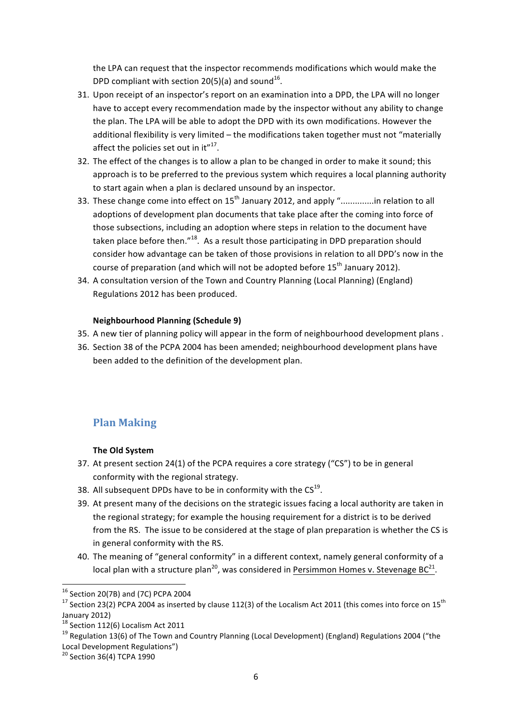the LPA can request that the inspector recommends modifications which would make the DPD compliant with section  $20(5)(a)$  and sound<sup>16</sup>.

- 31. Upon receipt of an inspector's report on an examination into a DPD, the LPA will no longer have to accept every recommendation made by the inspector without any ability to change the plan. The LPA will be able to adopt the DPD with its own modifications. However the additional flexibility is very limited - the modifications taken together must not "materially affect the policies set out in it" $17$ .
- 32. The effect of the changes is to allow a plan to be changed in order to make it sound; this approach is to be preferred to the previous system which requires a local planning authority to start again when a plan is declared unsound by an inspector.
- 33. These change come into effect on  $15<sup>th</sup>$  January 2012, and apply "..............in relation to all adoptions of development plan documents that take place after the coming into force of those subsections, including an adoption where steps in relation to the document have taken place before then." $18$ . As a result those participating in DPD preparation should consider how advantage can be taken of those provisions in relation to all DPD's now in the course of preparation (and which will not be adopted before  $15<sup>th</sup>$  January 2012).
- 34. A consultation version of the Town and Country Planning (Local Planning) (England) Regulations 2012 has been produced.

#### **Neighbourhood Planning (Schedule 9)**

- 35. A new tier of planning policy will appear in the form of neighbourhood development plans.
- 36. Section 38 of the PCPA 2004 has been amended; neighbourhood development plans have been added to the definition of the development plan.

### **Plan Making**

### **The Old System**

- 37. At present section 24(1) of the PCPA requires a core strategy ("CS") to be in general conformity with the regional strategy.
- 38. All subsequent DPDs have to be in conformity with the  $CS^{19}$ .
- 39. At present many of the decisions on the strategic issues facing a local authority are taken in the regional strategy; for example the housing requirement for a district is to be derived from the RS. The issue to be considered at the stage of plan preparation is whether the CS is in general conformity with the RS.
- 40. The meaning of "general conformity" in a different context, namely general conformity of a local plan with a structure plan<sup>20</sup>, was considered in Persimmon Homes v. Stevenage BC<sup>21</sup>.

 $16$  Section 20(7B) and (7C) PCPA 2004

<sup>&</sup>lt;sup>17</sup> Section 23(2) PCPA 2004 as inserted by clause 112(3) of the Localism Act 2011 (this comes into force on 15<sup>th</sup> January 2012)<br><sup>18</sup> Section 112(6) Localism Act 2011

<sup>&</sup>lt;sup>19</sup> Regulation 13(6) of The Town and Country Planning (Local Development) (England) Regulations 2004 ("the Local Development Regulations")

 $20$  Section 36(4) TCPA 1990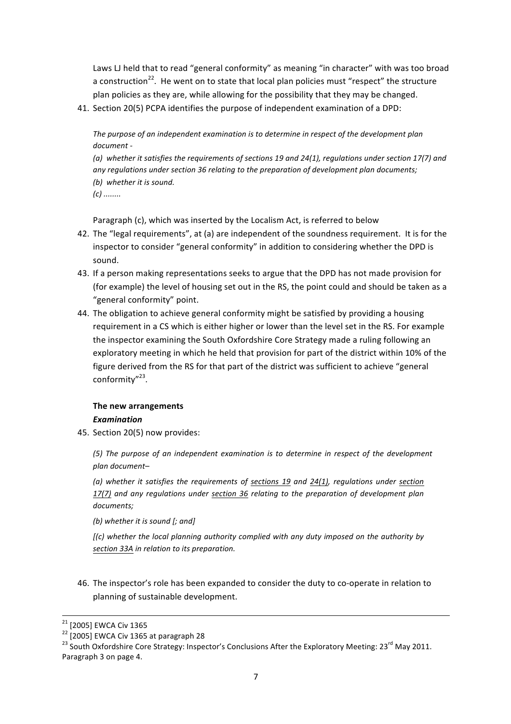Laws LJ held that to read "general conformity" as meaning "in character" with was too broad a construction<sup>22</sup>. He went on to state that local plan policies must "respect" the structure plan policies as they are, while allowing for the possibility that they may be changed.

41. Section 20(5) PCPA identifies the purpose of independent examination of a DPD:

The purpose of an independent examination is to determine in respect of the development plan *document -*

(a) whether it satisfies the requirements of sections 19 and 24(1), requlations under section 17(7) and any regulations under section 36 relating to the preparation of development plan documents; *(b) whether it is sound.*

*(c) ........*

Paragraph (c), which was inserted by the Localism Act, is referred to below

- 42. The "legal requirements", at (a) are independent of the soundness requirement. It is for the inspector to consider "general conformity" in addition to considering whether the DPD is sound.
- 43. If a person making representations seeks to argue that the DPD has not made provision for (for example) the level of housing set out in the RS, the point could and should be taken as a "general conformity" point.
- 44. The obligation to achieve general conformity might be satisfied by providing a housing requirement in a CS which is either higher or lower than the level set in the RS. For example the inspector examining the South Oxfordshire Core Strategy made a ruling following an exploratory meeting in which he held that provision for part of the district within 10% of the figure derived from the RS for that part of the district was sufficient to achieve "general conformity"<sup>23</sup>.

### **The new arrangements** *Examination*

45. Section 20(5) now provides:

(5) The purpose of an independent examination is to determine in respect of the development *plan document–*

*(a)* whether it satisfies the requirements of sections 19 and 24(1), regulations under section *17(7)* and any regulations under section 36 relating to the preparation of development plan *documents;*

*(b)* whether it is sound [; and]

*[(c)* whether the local planning authority complied with any duty imposed on the authority by *section 33A in relation to its preparation.*

46. The inspector's role has been expanded to consider the duty to co-operate in relation to planning of sustainable development.

<sup>&</sup>lt;sup>21</sup> [2005] EWCA Civ 1365<br><sup>22</sup> [2005] EWCA Civ 1365 at paragraph 28<br><sup>23</sup> South Oxfordshire Core Strategy: Inspector's Conclusions After the Exploratory Meeting: 23<sup>rd</sup> May 2011. Paragraph 3 on page 4.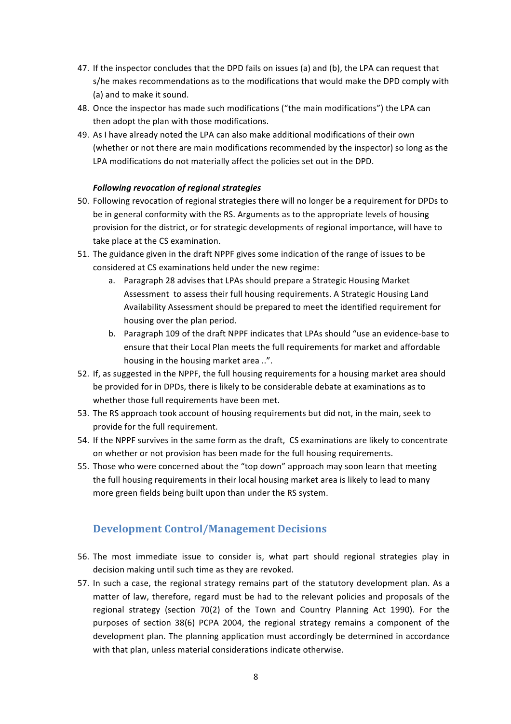- 47. If the inspector concludes that the DPD fails on issues (a) and (b), the LPA can request that s/he makes recommendations as to the modifications that would make the DPD comply with (a) and to make it sound.
- 48. Once the inspector has made such modifications ("the main modifications") the LPA can then adopt the plan with those modifications.
- 49. As I have already noted the LPA can also make additional modifications of their own (whether or not there are main modifications recommended by the inspector) so long as the LPA modifications do not materially affect the policies set out in the DPD.

### *Following revocation of regional strategies*

- 50. Following revocation of regional strategies there will no longer be a requirement for DPDs to be in general conformity with the RS. Arguments as to the appropriate levels of housing provision for the district, or for strategic developments of regional importance, will have to take place at the CS examination.
- 51. The guidance given in the draft NPPF gives some indication of the range of issues to be considered at CS examinations held under the new regime:
	- a. Paragraph 28 advises that LPAs should prepare a Strategic Housing Market Assessment to assess their full housing requirements. A Strategic Housing Land Availability Assessment should be prepared to meet the identified requirement for housing over the plan period.
	- b. Paragraph 109 of the draft NPPF indicates that LPAs should "use an evidence-base to ensure that their Local Plan meets the full requirements for market and affordable housing in the housing market area ..".
- 52. If, as suggested in the NPPF, the full housing requirements for a housing market area should be provided for in DPDs, there is likely to be considerable debate at examinations as to whether those full requirements have been met.
- 53. The RS approach took account of housing requirements but did not, in the main, seek to provide for the full requirement.
- 54. If the NPPF survives in the same form as the draft, CS examinations are likely to concentrate on whether or not provision has been made for the full housing requirements.
- 55. Those who were concerned about the "top down" approach may soon learn that meeting the full housing requirements in their local housing market area is likely to lead to many more green fields being built upon than under the RS system.

### **Development Control/Management Decisions**

- 56. The most immediate issue to consider is, what part should regional strategies play in decision making until such time as they are revoked.
- 57. In such a case, the regional strategy remains part of the statutory development plan. As a matter of law, therefore, regard must be had to the relevant policies and proposals of the regional strategy (section  $70(2)$  of the Town and Country Planning Act 1990). For the purposes of section 38(6) PCPA 2004, the regional strategy remains a component of the development plan. The planning application must accordingly be determined in accordance with that plan, unless material considerations indicate otherwise.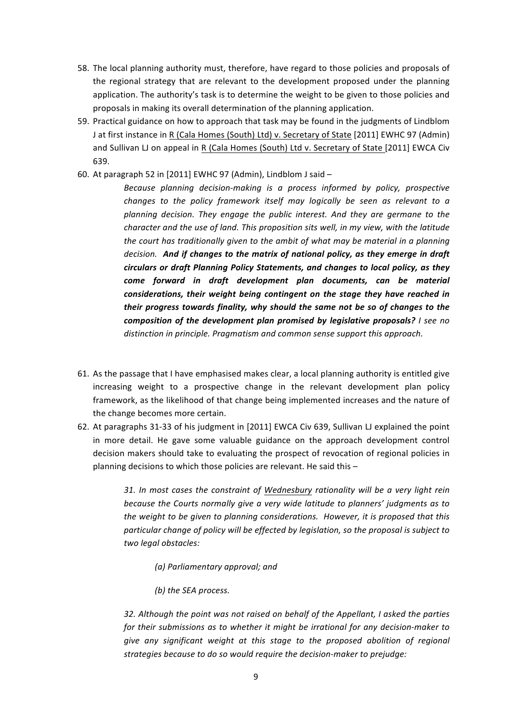- 58. The local planning authority must, therefore, have regard to those policies and proposals of the regional strategy that are relevant to the development proposed under the planning application. The authority's task is to determine the weight to be given to those policies and proposals in making its overall determination of the planning application.
- 59. Practical guidance on how to approach that task may be found in the judgments of Lindblom J at first instance in R (Cala Homes (South) Ltd) v. Secretary of State [2011] EWHC 97 (Admin) and Sullivan LJ on appeal in R (Cala Homes (South) Ltd v. Secretary of State [2011] EWCA Civ 639.
- 60. At paragraph 52 in [2011] EWHC 97 (Admin), Lindblom J said  $-$ 
	- Because planning decision-making is a process informed by policy, prospective *changes to the policy framework itself may logically be seen as relevant to a* planning decision. They engage the public interest. And they are germane to the *character and the use of land. This proposition sits well, in my view, with the latitude the court has traditionally given to the ambit of what may be material in a planning decision.* And if changes to the matrix of national policy, as they emerge in draft *circulars or draft Planning Policy Statements, and changes to local policy, as they* come forward in draft development plan documents, can be material *considerations, their weight being contingent on the stage they have reached in their progress towards finality, why should the same not be so of changes to the composition of the development plan promised by legislative proposals? I* see no distinction in principle. Pragmatism and common sense support this approach.
- 61. As the passage that I have emphasised makes clear, a local planning authority is entitled give increasing weight to a prospective change in the relevant development plan policy framework, as the likelihood of that change being implemented increases and the nature of the change becomes more certain.
- 62. At paragraphs 31-33 of his judgment in [2011] EWCA Civ 639, Sullivan LJ explained the point in more detail. He gave some valuable guidance on the approach development control decision makers should take to evaluating the prospect of revocation of regional policies in planning decisions to which those policies are relevant. He said this  $-$

31. In most cases the constraint of Wednesbury rationality will be a very light rein *because the Courts normally give a very wide latitude to planners' judgments as to the weight to be given to planning considerations. However, it is proposed that this* particular change of policy will be effected by legislation, so the proposal is subject to *two legal obstacles:*

- *(a) Parliamentary approval; and*
- *(b)* the SEA process.

*32.* Although the point was not raised on behalf of the Appellant, I asked the parties for their submissions as to whether it might be irrational for any decision-maker to *give* any significant weight at this stage to the proposed abolition of regional strategies because to do so would require the decision-maker to prejudge: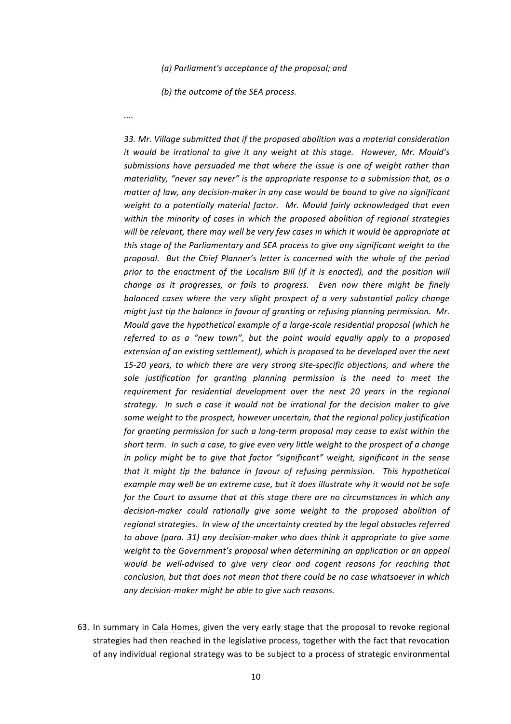#### (a) Parliament's acceptance of the proposal; and

*(b)* the outcome of the SEA process.

*....*

33. Mr. Village submitted that if the proposed abolition was a material consideration *it* would be irrational to give it any weight at this stage. However, Mr. Mould's submissions have persuaded me that where the issue is one of weight rather than *materiality, "never say never"* is the appropriate response to a submission that, as a *matter of law, any decision-maker in any case would be bound to give no significant* weight to a potentially material factor. Mr. Mould fairly acknowledged that even within the minority of cases in which the proposed abolition of regional strategies will be relevant, there may well be very few cases in which it would be appropriate at *this* stage of the Parliamentary and SEA process to give any significant weight to the proposal. But the Chief Planner's letter is concerned with the whole of the period *prior* to the enactment of the Localism Bill (if it is enacted), and the position will *change as it progresses, or fails to progress. Even now there might be finely balanced cases where the very slight prospect of a very substantial policy change might just tip the balance in favour of granting or refusing planning permission. Mr. Mould gave the hypothetical example of a large-scale residential proposal (which he referred to as a "new town", but the point would equally apply to a proposed extension of an existing settlement), which is proposed to be developed over the next* 15-20 years, to which there are very strong site-specific objections, and where the sole *justification* for granting planning permission is the need to meet the requirement for residential development over the next 20 years in the regional strategy. In such a case it would not be irrational for the decision maker to give some weight to the prospect, however uncertain, that the regional policy justification *for granting permission for such a long-term proposal may cease to exist within the* short term. In such a case, to give even very little weight to the prospect of a change *in* policy might be to give that factor "significant" weight, significant in the sense *that* it might tip the balance in favour of refusing permission. This hypothetical *example may well be an extreme case, but it does illustrate why it would not be safe for* the Court to assume that at this stage there are no circumstances in which any decision-maker could rationally give some weight to the proposed abolition of *regional strategies. In view of the uncertainty created by the legal obstacles referred to* above (para. 31) any decision-maker who does think it appropriate to give some weight to the Government's proposal when determining an application or an appeal *would be well-advised to give very clear and cogent reasons for reaching that conclusion, but that does not mean that there could be no case whatsoever in which* any decision-maker might be able to give such reasons.

63. In summary in Cala Homes, given the very early stage that the proposal to revoke regional strategies had then reached in the legislative process, together with the fact that revocation of any individual regional strategy was to be subject to a process of strategic environmental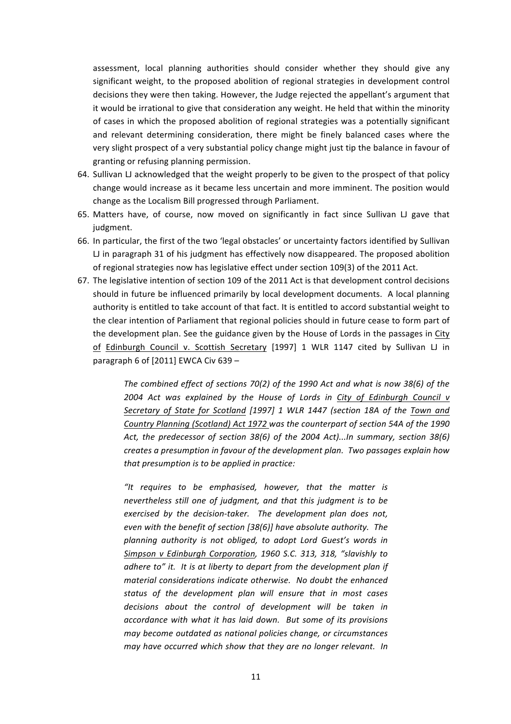assessment, local planning authorities should consider whether they should give any significant weight, to the proposed abolition of regional strategies in development control decisions they were then taking. However, the Judge rejected the appellant's argument that it would be irrational to give that consideration any weight. He held that within the minority of cases in which the proposed abolition of regional strategies was a potentially significant and relevant determining consideration, there might be finely balanced cases where the very slight prospect of a very substantial policy change might just tip the balance in favour of granting or refusing planning permission.

- 64. Sullivan LJ acknowledged that the weight properly to be given to the prospect of that policy change would increase as it became less uncertain and more imminent. The position would change as the Localism Bill progressed through Parliament.
- 65. Matters have, of course, now moved on significantly in fact since Sullivan LJ gave that judgment.
- 66. In particular, the first of the two 'legal obstacles' or uncertainty factors identified by Sullivan  $L$  in paragraph 31 of his judgment has effectively now disappeared. The proposed abolition of regional strategies now has legislative effect under section 109(3) of the 2011 Act.
- 67. The legislative intention of section 109 of the 2011 Act is that development control decisions should in future be influenced primarily by local development documents. A local planning authority is entitled to take account of that fact. It is entitled to accord substantial weight to the clear intention of Parliament that regional policies should in future cease to form part of the development plan. See the guidance given by the House of Lords in the passages in City of Edinburgh Council v. Scottish Secretary [1997] 1 WLR 1147 cited by Sullivan LJ in paragraph 6 of  $[2011]$  EWCA Civ 639 –

The combined effect of sections 70(2) of the 1990 Act and what is now 38(6) of the 2004 Act was explained by the House of Lords in City of Edinburgh Council v Secretary of State for Scotland [1997] 1 WLR 1447 (section 18A of the Town and Country Planning (Scotland) Act 1972 was the counterpart of section 54A of the 1990 Act, the predecessor of section 38(6) of the 2004 Act)...In summary, section 38(6) *creates a presumption in favour of the development plan. Two passages explain how that presumption is to be applied in practice:* 

*"It requires to be emphasised, however, that the matter is nevertheless still one of judgment, and that this judgment is to be exercised by the decision-taker.* The development plan does not, *even* with the benefit of section [38(6)] have absolute authority. The planning authority is not obliged, to adopt Lord Guest's words in *Simpson* v Edinburgh Corporation, 1960 S.C. 313, 318, "slavishly to *adhere to"* it. It is at liberty to depart from the development plan if *material considerations indicate otherwise. No doubt the enhanced* status of the development plan will ensure that in most cases decisions about the control of development will be taken in *accordance with what it has laid down.* But some of its provisions *may become outdated as national policies change, or circumstances may have occurred which show that they are no longer relevant. In*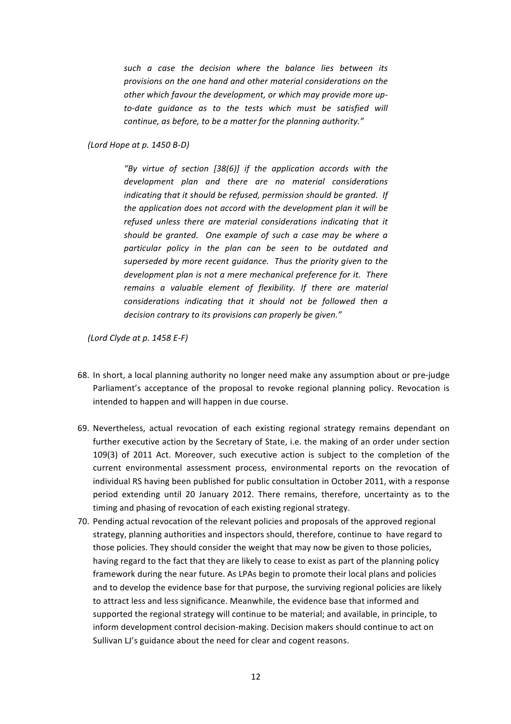such a case the decision where the balance lies between its provisions on the one hand and other material considerations on the other which favour the development, or which may provide more upto-date quidance as to the tests which must be satisfied will *continue, as before, to be a matter for the planning authority."* 

### *(Lord Hope at p. 1450 B-D)*

*"By virtue of section [38(6)] if the application accords with the*  development plan and there are no material considerations *indicating that it should be refused, permission should be aranted. If* the application does not accord with the development plan it will be refused unless there are material considerations indicating that it *should be granted. One example of such a case may be where a particular policy in the plan can be seen to be outdated and*  superseded by more recent quidance. Thus the priority given to the *development plan is not a mere mechanical preference for it. There remains a valuable element of flexibility. If there are material considerations indicating that it should not be followed then a decision contrary to its provisions can properly be given."* 

*(Lord Clyde at p. 1458 E-F)* 

- 68. In short, a local planning authority no longer need make any assumption about or pre-judge Parliament's acceptance of the proposal to revoke regional planning policy. Revocation is intended to happen and will happen in due course.
- 69. Nevertheless, actual revocation of each existing regional strategy remains dependant on further executive action by the Secretary of State, i.e. the making of an order under section 109(3) of 2011 Act. Moreover, such executive action is subject to the completion of the current environmental assessment process, environmental reports on the revocation of individual RS having been published for public consultation in October 2011, with a response period extending until 20 January 2012. There remains, therefore, uncertainty as to the timing and phasing of revocation of each existing regional strategy.
- 70. Pending actual revocation of the relevant policies and proposals of the approved regional strategy, planning authorities and inspectors should, therefore, continue to have regard to those policies. They should consider the weight that may now be given to those policies, having regard to the fact that they are likely to cease to exist as part of the planning policy framework during the near future. As LPAs begin to promote their local plans and policies and to develop the evidence base for that purpose, the surviving regional policies are likely to attract less and less significance. Meanwhile, the evidence base that informed and supported the regional strategy will continue to be material; and available, in principle, to inform development control decision-making. Decision makers should continue to act on Sullivan LJ's guidance about the need for clear and cogent reasons.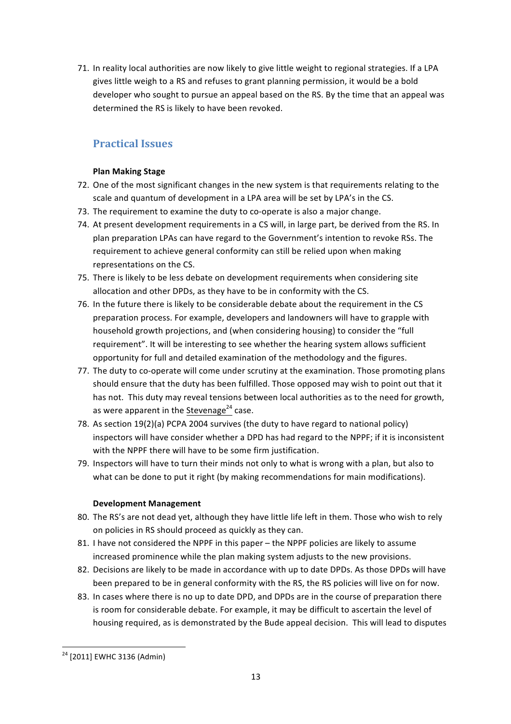71. In reality local authorities are now likely to give little weight to regional strategies. If a LPA gives little weigh to a RS and refuses to grant planning permission, it would be a bold developer who sought to pursue an appeal based on the RS. By the time that an appeal was determined the RS is likely to have been revoked.

## **Practical Issues**

### **Plan Making Stage**

- 72. One of the most significant changes in the new system is that requirements relating to the scale and quantum of development in a LPA area will be set by LPA's in the CS.
- 73. The requirement to examine the duty to co-operate is also a major change.
- 74. At present development requirements in a CS will, in large part, be derived from the RS. In plan preparation LPAs can have regard to the Government's intention to revoke RSs. The requirement to achieve general conformity can still be relied upon when making representations on the CS.
- 75. There is likely to be less debate on development requirements when considering site allocation and other DPDs, as they have to be in conformity with the CS.
- 76. In the future there is likely to be considerable debate about the requirement in the CS preparation process. For example, developers and landowners will have to grapple with household growth projections, and (when considering housing) to consider the "full requirement". It will be interesting to see whether the hearing system allows sufficient opportunity for full and detailed examination of the methodology and the figures.
- 77. The duty to co-operate will come under scrutiny at the examination. Those promoting plans should ensure that the duty has been fulfilled. Those opposed may wish to point out that it has not. This duty may reveal tensions between local authorities as to the need for growth, as were apparent in the Stevenage<sup>24</sup> case.
- 78. As section 19(2)(a) PCPA 2004 survives (the duty to have regard to national policy) inspectors will have consider whether a DPD has had regard to the NPPF; if it is inconsistent with the NPPF there will have to be some firm justification.
- 79. Inspectors will have to turn their minds not only to what is wrong with a plan, but also to what can be done to put it right (by making recommendations for main modifications).

### **Development Management**

- 80. The RS's are not dead yet, although they have little life left in them. Those who wish to rely on policies in RS should proceed as quickly as they can.
- 81. I have not considered the NPPF in this paper the NPPF policies are likely to assume increased prominence while the plan making system adjusts to the new provisions.
- 82. Decisions are likely to be made in accordance with up to date DPDs. As those DPDs will have been prepared to be in general conformity with the RS, the RS policies will live on for now.
- 83. In cases where there is no up to date DPD, and DPDs are in the course of preparation there is room for considerable debate. For example, it may be difficult to ascertain the level of housing required, as is demonstrated by the Bude appeal decision. This will lead to disputes

 

 $24$  [2011] EWHC 3136 (Admin)